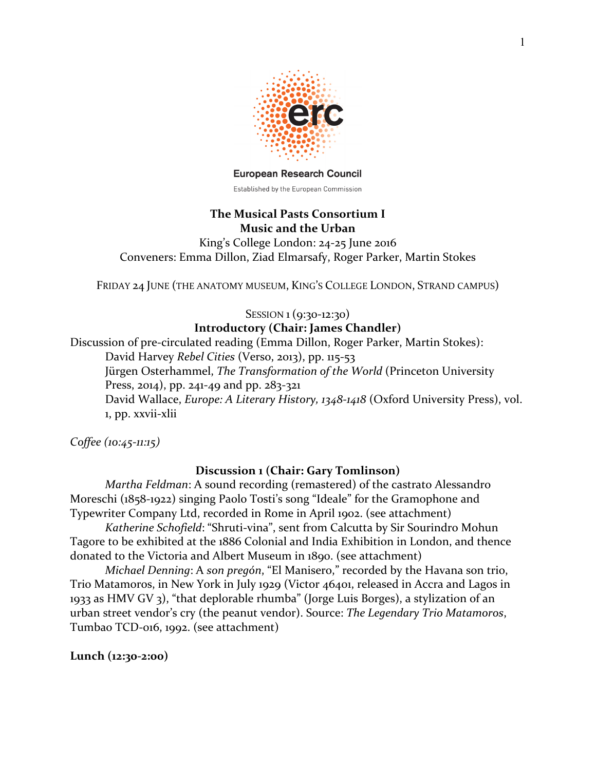

**European Research Council** 

# Established by the European Commission

### **The Musical Pasts Consortium I Music and the Urban**

King's College London:  $24-25$  June  $2016$ Conveners: Emma Dillon, Ziad Elmarsafy, Roger Parker, Martin Stokes

FRIDAY 24 JUNE (THE ANATOMY MUSEUM, KING'S COLLEGE LONDON, STRAND CAMPUS)

SESSION 1 (9:30-12:30) **Introductory (Chair: James Chandler)** 

Discussion of pre-circulated reading (Emma Dillon, Roger Parker, Martin Stokes): David Harvey *Rebel Cities* (Verso, 2013), pp. 115-53 Jürgen Osterhammel, *The Transformation of the World* (Princeton University Press, 2014), pp. 241-49 and pp.  $283-321$ David Wallace, *Europe: A Literary History, 1348-1418* (Oxford University Press), vol. 1, pp. xxvii-xlii

*Coffee (10:45-11:15)*

# **Discussion 1 (Chair: Gary Tomlinson)**

*Martha Feldman*: A sound recording (remastered) of the castrato Alessandro Moreschi (1858-1922) singing Paolo Tosti's song "Ideale" for the Gramophone and Typewriter Company Ltd, recorded in Rome in April 1902. (see attachment)

*Katherine Schofield*: "Shruti-vina", sent from Calcutta by Sir Sourindro Mohun Tagore to be exhibited at the 1886 Colonial and India Exhibition in London, and thence donated to the Victoria and Albert Museum in 1890. (see attachment)

*Michael Denning*: A son pregón, "El Manisero," recorded by the Havana son trio, Trio Matamoros, in New York in July 1929 (Victor 46401, released in Accra and Lagos in 1933 as HMV GV 3), "that deplorable rhumba" (Jorge Luis Borges), a stylization of an urban street vendor's cry (the peanut vendor). Source: *The Legendary Trio Matamoros*, Tumbao TCD-016, 1992. (see attachment)

### **Lunch (12:30-2:00)**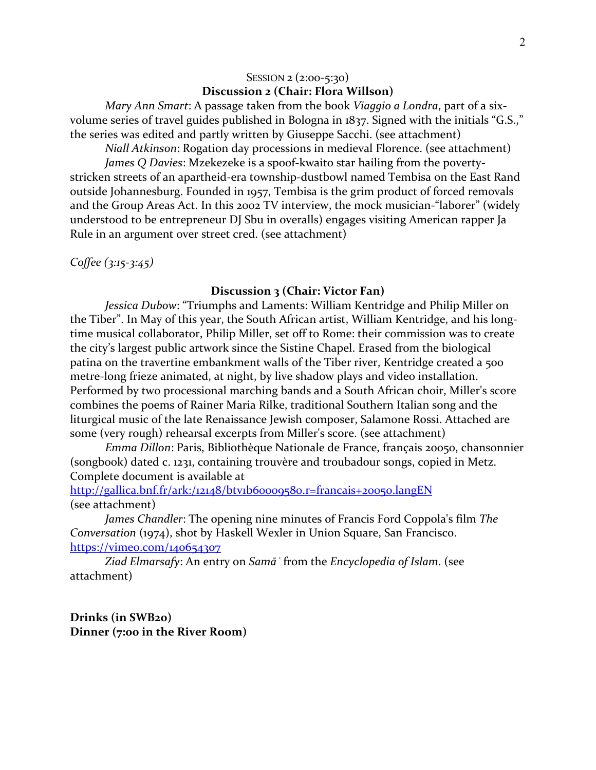# SESSION 2 (2:00-5:30) **Discussion 2 (Chair: Flora Willson)**

*Mary Ann Smart: A passage taken from the book Viaggio a Londra, part of a six*volume series of travel guides published in Bologna in  $1837$ . Signed with the initials "G.S.," the series was edited and partly written by Giuseppe Sacchi. (see attachment)

*Niall Atkinson*: Rogation day processions in medieval Florence. (see attachment) *James Q Davies*: Mzekezeke is a spoof-kwaito star hailing from the povertystricken streets of an apartheid-era township-dustbowl named Tembisa on the East Rand outside Johannesburg. Founded in 1957, Tembisa is the grim product of forced removals and the Group Areas Act. In this 2002 TV interview, the mock musician-"laborer" (widely understood to be entrepreneur DJ Sbu in overalls) engages visiting American rapper Ja Rule in an argument over street cred. (see attachment)

*Coffee (3:15-3:45)*

#### **Discussion 3** (Chair: Victor Fan)

*Jessica Dubow*: "Triumphs and Laments: William Kentridge and Philip Miller on the Tiber". In May of this year, the South African artist, William Kentridge, and his longtime musical collaborator, Philip Miller, set off to Rome: their commission was to create the city's largest public artwork since the Sistine Chapel. Erased from the biological patina on the travertine embankment walls of the Tiber river, Kentridge created a 500 metre-long frieze animated, at night, by live shadow plays and video installation. Performed by two processional marching bands and a South African choir, Miller's score combines the poems of Rainer Maria Rilke, traditional Southern Italian song and the liturgical music of the late Renaissance Jewish composer, Salamone Rossi. Attached are some (very rough) rehearsal excerpts from Miller's score. (see attachment)

*Emma Dillon*: Paris, Bibliothèque Nationale de France, français 20050, chansonnier (songbook) dated c. 1231, containing trouvère and troubadour songs, copied in Metz. Complete document is available at

http://gallica.bnf.fr/ark:/12148/btv1b60009580.r=francais+20050.langEN (see attachment)

*James Chandler*: The opening nine minutes of Francis Ford Coppola's film The *Conversation* (1974), shot by Haskell Wexler in Union Square, San Francisco. https://vimeo.com/140654307

Ziad *Elmarsafy*: An entry on *Samā* 'from the *Encyclopedia* of Islam. (see attachment)

**Drinks (in SWB20) Dinner** (7:00 in the River Room)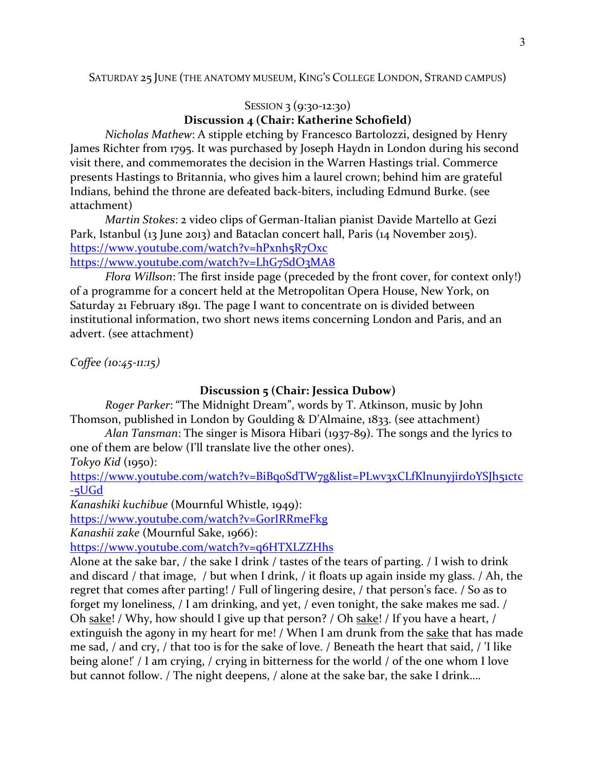#### SATURDAY 25 JUNE (THE ANATOMY MUSEUM, KING'S COLLEGE LONDON, STRAND CAMPUS)

# SESSION 3 (9:30-12:30)

# **Discussion 4 (Chair: Katherine Schofield)**

*Nicholas Mathew:* A stipple etching by Francesco Bartolozzi, designed by Henry James Richter from 1795. It was purchased by Joseph Haydn in London during his second visit there, and commemorates the decision in the Warren Hastings trial. Commerce presents Hastings to Britannia, who gives him a laurel crown; behind him are grateful Indians, behind the throne are defeated back-biters, including Edmund Burke. (see attachment)

*Martin Stokes*: 2 video clips of German-Italian pianist Davide Martello at Gezi Park, Istanbul (13 June 2013) and Bataclan concert hall, Paris (14 November 2015). https://www.youtube.com/watch?v=hPxnh5R7Oxc https://www.youtube.com/watch?v=LhG7SdO3MA8

*Flora Willson*: The first inside page (preceded by the front cover, for context only!) of a programme for a concert held at the Metropolitan Opera House, New York, on Saturday 21 February 1891. The page I want to concentrate on is divided between institutional information, two short news items concerning London and Paris, and an advert. (see attachment)

*Coffee (10:45-11:15)*

# **Discussion 5** (Chair: Jessica Dubow)

*Roger Parker*: "The Midnight Dream", words by T. Atkinson, music by John Thomson, published in London by Goulding & D'Almaine, 1833. (see attachment)

*Alan Tansman*: The singer is Misora Hibari (1937-89). The songs and the lyrics to one of them are below (I'll translate live the other ones).

*Tokyo Kid* (1950):

https://www.youtube.com/watch?v=BiBqoSdTW7g&list=PLwv3xCLfKlnunyjirdoYSJh51ctc -5UGd

*Kanashiki kuchibue* (Mournful Whistle, 1949):

https://www.youtube.com/watch?v=GorIRRmeFkg

*Kanashii zake* (Mournful Sake, 1966):

https://www.youtube.com/watch?v=q6HTXLZZHhs

Alone at the sake bar,  $/$  the sake I drink  $/$  tastes of the tears of parting.  $/$  I wish to drink and discard / that image, / but when I drink, / it floats up again inside my glass. / Ah, the regret that comes after parting! / Full of lingering desire, / that person's face. / So as to forget my loneliness, / I am drinking, and yet, / even tonight, the sake makes me sad. / Oh sake! / Why, how should I give up that person? / Oh sake! / If you have a heart, / extinguish the agony in my heart for me! / When I am drunk from the sake that has made me sad, / and cry, / that too is for the sake of love. / Beneath the heart that said, / 'I like being alone!' / I am crying, / crying in bitterness for the world / of the one whom I love but cannot follow. / The night deepens, / alone at the sake bar, the sake I drink....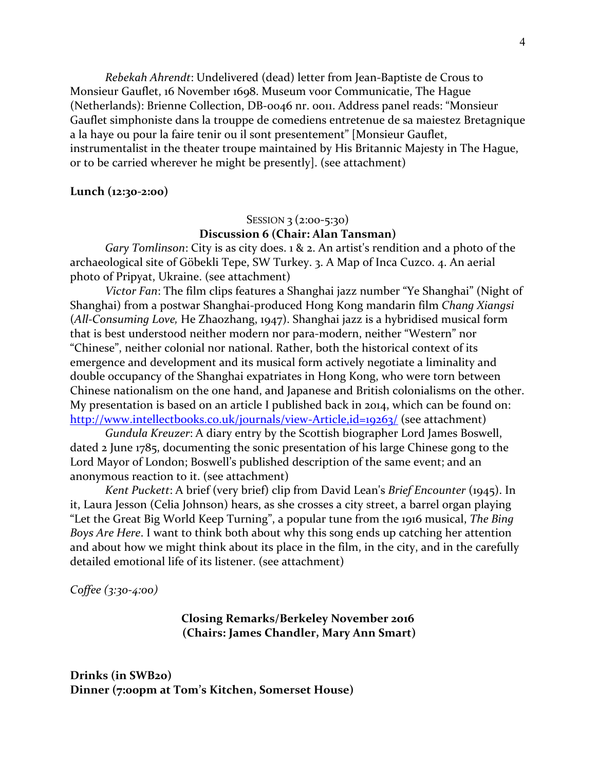*Rebekah Ahrendt*: Undelivered (dead) letter from Jean-Baptiste de Crous to Monsieur Gauflet, 16 November 1698. Museum voor Communicatie, The Hague (Netherlands): Brienne Collection, DB-0046 nr. 0011. Address panel reads: "Monsieur Gauflet simphoniste dans la trouppe de comediens entretenue de sa maiestez Bretagnique a la haye ou pour la faire tenir ou il sont presentement" [Monsieur Gauflet, instrumentalist in the theater troupe maintained by His Britannic Majesty in The Hague, or to be carried wherever he might be presently]. (see attachment)

#### **Lunch (12:30-2:00)**

# SESSION 3  $(2:00-5:30)$ **Discussion 6** (Chair: Alan Tansman)

*Gary* Tomlinson: City is as city does. 1 & 2. An artist's rendition and a photo of the archaeological site of Göbekli Tepe, SW Turkey. 3. A Map of Inca Cuzco. 4. An aerial photo of Pripyat, Ukraine. (see attachment)

*Victor Fan*: The film clips features a Shanghai jazz number "Ye Shanghai" (Night of Shanghai) from a postwar Shanghai-produced Hong Kong mandarin film *Chang Xiangsi* (*All-Consuming Love*, He Zhaozhang, 1947). Shanghai jazz is a hybridised musical form that is best understood neither modern nor para-modern, neither "Western" nor "Chinese", neither colonial nor national. Rather, both the historical context of its emergence and development and its musical form actively negotiate a liminality and double occupancy of the Shanghai expatriates in Hong Kong, who were torn between Chinese nationalism on the one hand, and Japanese and British colonialisms on the other. My presentation is based on an article I published back in 2014, which can be found on: http://www.intellectbooks.co.uk/journals/view-Article,id=19263/ (see attachment)

*Gundula Kreuzer:* A diary entry by the Scottish biographer Lord James Boswell, dated 2 June 1785, documenting the sonic presentation of his large Chinese gong to the Lord Mayor of London; Boswell's published description of the same event; and an anonymous reaction to it. (see attachment)

*Kent Puckett: A brief* (very brief) clip from David Lean's *Brief Encounter* (1945). In it, Laura Jesson (Celia Johnson) hears, as she crosses a city street, a barrel organ playing "Let the Great Big World Keep Turning", a popular tune from the 1916 musical, *The Bing Boys Are Here.* I want to think both about why this song ends up catching her attention and about how we might think about its place in the film, in the city, and in the carefully detailed emotional life of its listener. (see attachment)

*Coffee (3:30-4:00)*

### **Closing Remarks/Berkeley November 2016 (Chairs: James Chandler, Mary Ann Smart)**

**Drinks (in SWB20) Dinner** (7:00pm at Tom's Kitchen, Somerset House)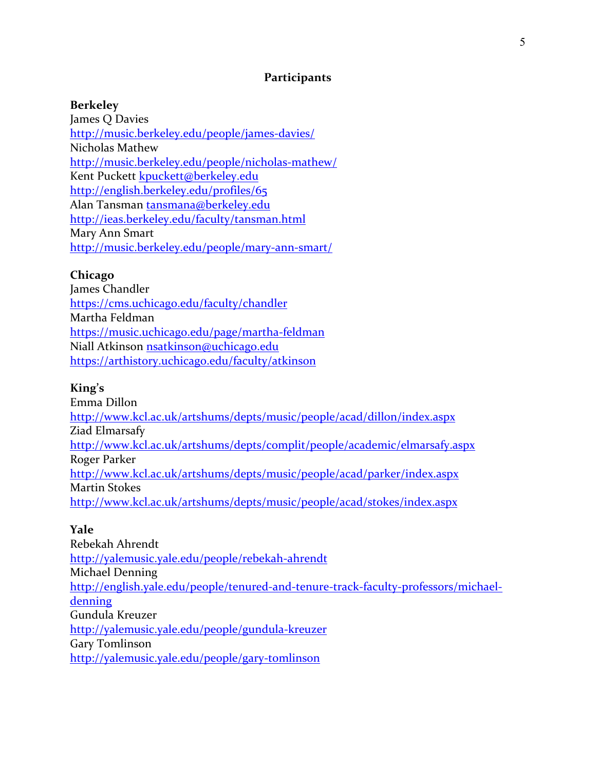# **Participants**

### **Berkeley**

James O Davies http://music.berkeley.edu/people/james-davies/ Nicholas Mathew http://music.berkeley.edu/people/nicholas-mathew/ Kent Puckett kpuckett@berkeley.edu http://english.berkeley.edu/profiles/65 Alan Tansman tansmana@berkeley.edu http://ieas.berkeley.edu/faculty/tansman.html Mary Ann Smart http://music.berkeley.edu/people/mary-ann-smart/

## **Chicago**

James Chandler https://cms.uchicago.edu/faculty/chandler Martha Feldman https://music.uchicago.edu/page/martha-feldman Niall Atkinson nsatkinson@uchicago.edu https://arthistory.uchicago.edu/faculty/atkinson

### **King's**

Emma Dillon http://www.kcl.ac.uk/artshums/depts/music/people/acad/dillon/index.aspx Ziad Elmarsafy http://www.kcl.ac.uk/artshums/depts/complit/people/academic/elmarsafy.aspx Roger Parker http://www.kcl.ac.uk/artshums/depts/music/people/acad/parker/index.aspx Martin Stokes http://www.kcl.ac.uk/artshums/depts/music/people/acad/stokes/index.aspx

### **Yale**

Rebekah Ahrendt http://yalemusic.yale.edu/people/rebekah-ahrendt Michael Denning http://english.yale.edu/people/tenured-and-tenure-track-faculty-professors/michaeldenning Gundula Kreuzer http://yalemusic.yale.edu/people/gundula-kreuzer Gary Tomlinson http://yalemusic.yale.edu/people/gary-tomlinson